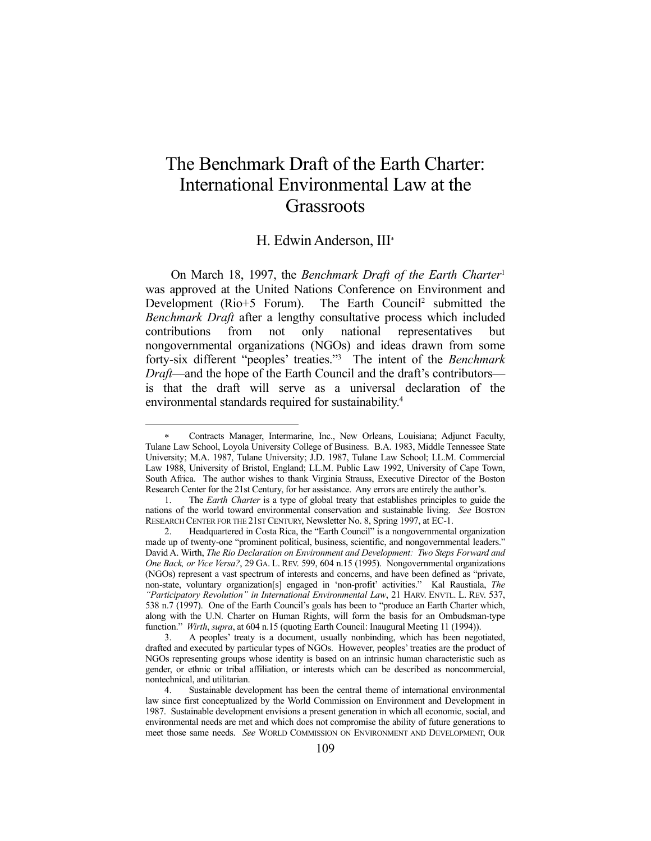# The Benchmark Draft of the Earth Charter: International Environmental Law at the **Grassroots**

# H. Edwin Anderson, III

 On March 18, 1997, the *Benchmark Draft of the Earth Charter*<sup>1</sup> was approved at the United Nations Conference on Environment and Development (Rio+5 Forum). The Earth Council<sup>2</sup> submitted the *Benchmark Draft* after a lengthy consultative process which included contributions from not only national representatives but nongovernmental organizations (NGOs) and ideas drawn from some forty-six different "peoples' treaties."3 The intent of the *Benchmark Draft*—and the hope of the Earth Council and the draft's contributors is that the draft will serve as a universal declaration of the environmental standards required for sustainability.4

1

Contracts Manager, Intermarine, Inc., New Orleans, Louisiana; Adjunct Faculty, Tulane Law School, Loyola University College of Business. B.A. 1983, Middle Tennessee State University; M.A. 1987, Tulane University; J.D. 1987, Tulane Law School; LL.M. Commercial Law 1988, University of Bristol, England; LL.M. Public Law 1992, University of Cape Town, South Africa. The author wishes to thank Virginia Strauss, Executive Director of the Boston Research Center for the 21st Century, for her assistance. Any errors are entirely the author's.

 <sup>1.</sup> The *Earth Charter* is a type of global treaty that establishes principles to guide the nations of the world toward environmental conservation and sustainable living. *See* BOSTON RESEARCH CENTER FOR THE 21ST CENTURY, Newsletter No. 8, Spring 1997, at EC-1.

 <sup>2.</sup> Headquartered in Costa Rica, the "Earth Council" is a nongovernmental organization made up of twenty-one "prominent political, business, scientific, and nongovernmental leaders." David A. Wirth, *The Rio Declaration on Environment and Development: Two Steps Forward and One Back, or Vice Versa?*, 29 GA. L. REV. 599, 604 n.15 (1995). Nongovernmental organizations (NGOs) represent a vast spectrum of interests and concerns, and have been defined as "private, non-state, voluntary organization[s] engaged in 'non-profit' activities." Kal Raustiala, *The "Participatory Revolution" in International Environmental Law*, 21 HARV. ENVTL. L. REV. 537, 538 n.7 (1997). One of the Earth Council's goals has been to "produce an Earth Charter which, along with the U.N. Charter on Human Rights, will form the basis for an Ombudsman-type function." *Wirth*, *supra*, at 604 n.15 (quoting Earth Council: Inaugural Meeting 11 (1994)).

 <sup>3.</sup> A peoples' treaty is a document, usually nonbinding, which has been negotiated, drafted and executed by particular types of NGOs. However, peoples' treaties are the product of NGOs representing groups whose identity is based on an intrinsic human characteristic such as gender, or ethnic or tribal affiliation, or interests which can be described as noncommercial, nontechnical, and utilitarian.

 <sup>4.</sup> Sustainable development has been the central theme of international environmental law since first conceptualized by the World Commission on Environment and Development in 1987. Sustainable development envisions a present generation in which all economic, social, and environmental needs are met and which does not compromise the ability of future generations to meet those same needs. *See* WORLD COMMISSION ON ENVIRONMENT AND DEVELOPMENT, OUR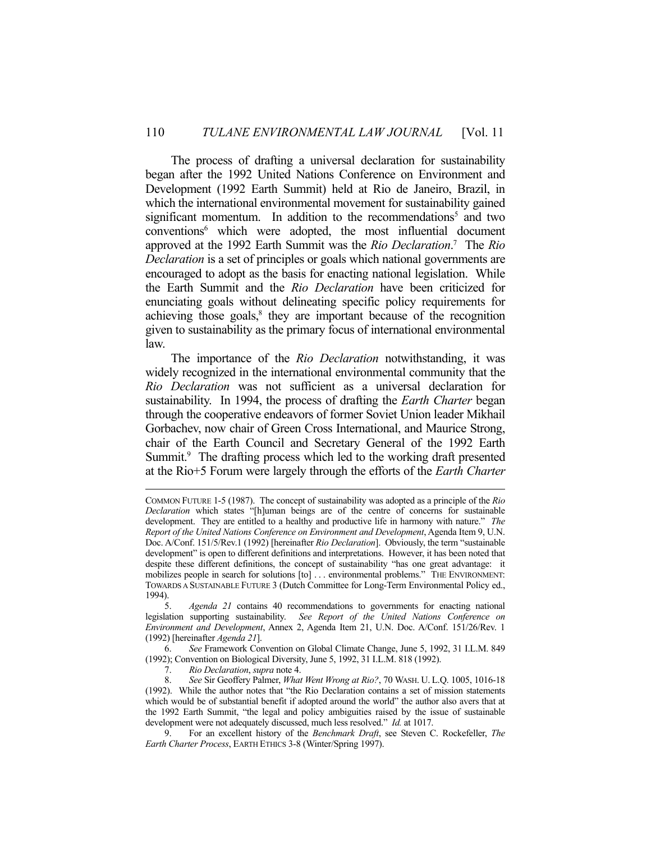The process of drafting a universal declaration for sustainability began after the 1992 United Nations Conference on Environment and Development (1992 Earth Summit) held at Rio de Janeiro, Brazil, in which the international environmental movement for sustainability gained significant momentum. In addition to the recommendations<sup>5</sup> and two conventions6 which were adopted, the most influential document approved at the 1992 Earth Summit was the *Rio Declaration*. 7 The *Rio Declaration* is a set of principles or goals which national governments are encouraged to adopt as the basis for enacting national legislation. While the Earth Summit and the *Rio Declaration* have been criticized for enunciating goals without delineating specific policy requirements for achieving those goals,<sup>8</sup> they are important because of the recognition given to sustainability as the primary focus of international environmental law.

 The importance of the *Rio Declaration* notwithstanding, it was widely recognized in the international environmental community that the *Rio Declaration* was not sufficient as a universal declaration for sustainability. In 1994, the process of drafting the *Earth Charter* began through the cooperative endeavors of former Soviet Union leader Mikhail Gorbachev, now chair of Green Cross International, and Maurice Strong, chair of the Earth Council and Secretary General of the 1992 Earth Summit.<sup>9</sup> The drafting process which led to the working draft presented at the Rio+5 Forum were largely through the efforts of the *Earth Charter*

 6. *See* Framework Convention on Global Climate Change, June 5, 1992, 31 I.L.M. 849 (1992); Convention on Biological Diversity, June 5, 1992, 31 I.L.M. 818 (1992).

7. *Rio Declaration*, *supra* note 4.

COMMON FUTURE 1-5 (1987). The concept of sustainability was adopted as a principle of the *Rio Declaration* which states "[h]uman beings are of the centre of concerns for sustainable development. They are entitled to a healthy and productive life in harmony with nature." *The Report of the United Nations Conference on Environment and Development*, Agenda Item 9, U.N. Doc. A/Conf. 151/5/Rev.1 (1992) [hereinafter *Rio Declaration*]. Obviously, the term "sustainable development" is open to different definitions and interpretations. However, it has been noted that despite these different definitions, the concept of sustainability "has one great advantage: it mobilizes people in search for solutions [to] . . . environmental problems." THE ENVIRONMENT: TOWARDS A SUSTAINABLE FUTURE 3 (Dutch Committee for Long-Term Environmental Policy ed., 1994).

 <sup>5.</sup> *Agenda 21* contains 40 recommendations to governments for enacting national legislation supporting sustainability. *See Report of the United Nations Conference on Environment and Development*, Annex 2, Agenda Item 21, U.N. Doc. A/Conf. 151/26/Rev. 1 (1992) [hereinafter *Agenda 21*].

 <sup>8.</sup> *See* Sir Geoffery Palmer, *What Went Wrong at Rio?*, 70 WASH. U. L.Q. 1005, 1016-18 (1992). While the author notes that "the Rio Declaration contains a set of mission statements which would be of substantial benefit if adopted around the world" the author also avers that at the 1992 Earth Summit, "the legal and policy ambiguities raised by the issue of sustainable development were not adequately discussed, much less resolved." *Id.* at 1017.

 <sup>9.</sup> For an excellent history of the *Benchmark Draft*, see Steven C. Rockefeller, *The Earth Charter Process*, EARTH ETHICS 3-8 (Winter/Spring 1997).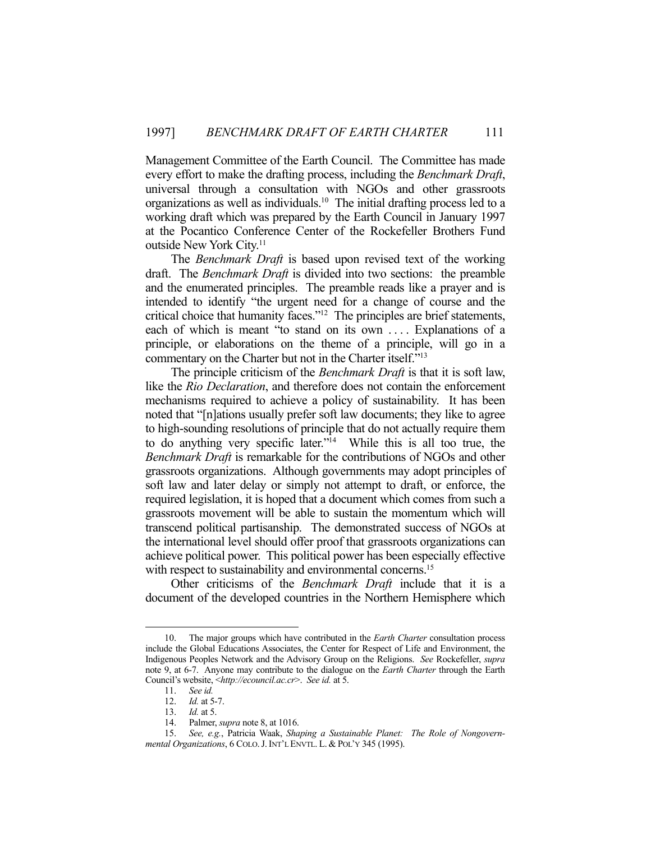Management Committee of the Earth Council. The Committee has made every effort to make the drafting process, including the *Benchmark Draft*, universal through a consultation with NGOs and other grassroots organizations as well as individuals.10 The initial drafting process led to a working draft which was prepared by the Earth Council in January 1997 at the Pocantico Conference Center of the Rockefeller Brothers Fund outside New York City.<sup>11</sup>

 The *Benchmark Draft* is based upon revised text of the working draft. The *Benchmark Draft* is divided into two sections: the preamble and the enumerated principles. The preamble reads like a prayer and is intended to identify "the urgent need for a change of course and the critical choice that humanity faces."12 The principles are brief statements, each of which is meant "to stand on its own .... Explanations of a principle, or elaborations on the theme of a principle, will go in a commentary on the Charter but not in the Charter itself."13

 The principle criticism of the *Benchmark Draft* is that it is soft law, like the *Rio Declaration*, and therefore does not contain the enforcement mechanisms required to achieve a policy of sustainability. It has been noted that "[n]ations usually prefer soft law documents; they like to agree to high-sounding resolutions of principle that do not actually require them to do anything very specific later."14 While this is all too true, the *Benchmark Draft* is remarkable for the contributions of NGOs and other grassroots organizations. Although governments may adopt principles of soft law and later delay or simply not attempt to draft, or enforce, the required legislation, it is hoped that a document which comes from such a grassroots movement will be able to sustain the momentum which will transcend political partisanship. The demonstrated success of NGOs at the international level should offer proof that grassroots organizations can achieve political power. This political power has been especially effective with respect to sustainability and environmental concerns.<sup>15</sup>

 Other criticisms of the *Benchmark Draft* include that it is a document of the developed countries in the Northern Hemisphere which

<u>.</u>

 <sup>10.</sup> The major groups which have contributed in the *Earth Charter* consultation process include the Global Educations Associates, the Center for Respect of Life and Environment, the Indigenous Peoples Network and the Advisory Group on the Religions. *See* Rockefeller, *supra* note 9, at 6-7. Anyone may contribute to the dialogue on the *Earth Charter* through the Earth Council's website, <*http://ecouncil.ac.cr*>. *See id.* at 5.

 <sup>11.</sup> *See id.*

 <sup>12.</sup> *Id.* at 5-7.

*Id.* at 5.

 <sup>14.</sup> Palmer, *supra* note 8, at 1016.

 <sup>15.</sup> *See, e.g.*, Patricia Waak, *Shaping a Sustainable Planet: The Role of Nongovernmental Organizations*, 6 COLO.J.INT'L ENVTL. L. & POL'Y 345 (1995).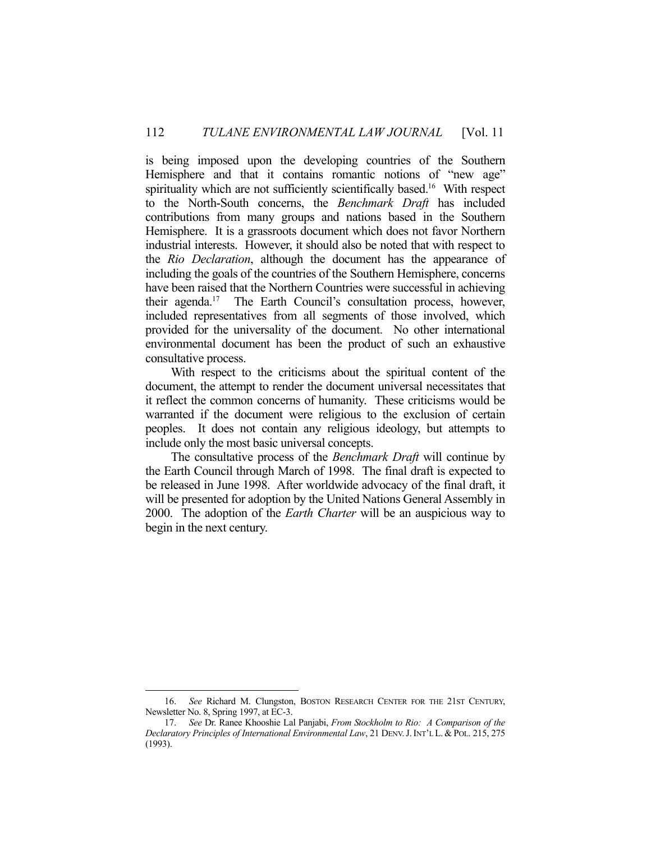is being imposed upon the developing countries of the Southern Hemisphere and that it contains romantic notions of "new age" spirituality which are not sufficiently scientifically based.<sup>16</sup> With respect to the North-South concerns, the *Benchmark Draft* has included contributions from many groups and nations based in the Southern Hemisphere. It is a grassroots document which does not favor Northern industrial interests. However, it should also be noted that with respect to the *Rio Declaration*, although the document has the appearance of including the goals of the countries of the Southern Hemisphere, concerns have been raised that the Northern Countries were successful in achieving their agenda.17 The Earth Council's consultation process, however, included representatives from all segments of those involved, which provided for the universality of the document. No other international environmental document has been the product of such an exhaustive consultative process.

 With respect to the criticisms about the spiritual content of the document, the attempt to render the document universal necessitates that it reflect the common concerns of humanity. These criticisms would be warranted if the document were religious to the exclusion of certain peoples. It does not contain any religious ideology, but attempts to include only the most basic universal concepts.

 The consultative process of the *Benchmark Draft* will continue by the Earth Council through March of 1998. The final draft is expected to be released in June 1998. After worldwide advocacy of the final draft, it will be presented for adoption by the United Nations General Assembly in 2000. The adoption of the *Earth Charter* will be an auspicious way to begin in the next century.

1

 <sup>16.</sup> *See* Richard M. Clungston, BOSTON RESEARCH CENTER FOR THE 21ST CENTURY, Newsletter No. 8, Spring 1997, at EC-3.

 <sup>17.</sup> *See* Dr. Ranee Khooshie Lal Panjabi, *From Stockholm to Rio: A Comparison of the Declaratory Principles of International Environmental Law*, 21 DENV.J.INT'L L. & POL. 215, 275 (1993).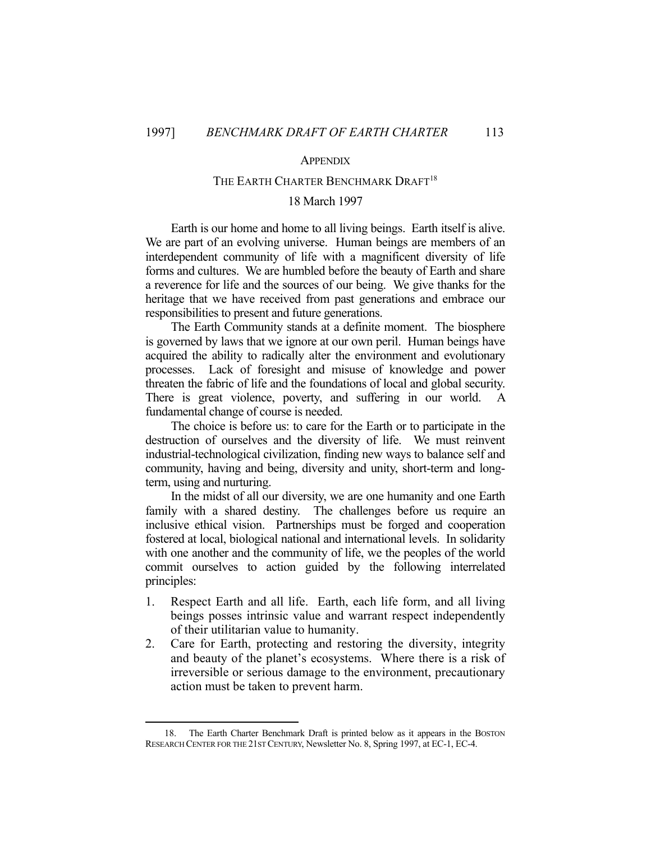1

### **APPENDIX**

## THE EARTH CHARTER BENCHMARK DRAFT<sup>18</sup>

### 18 March 1997

 Earth is our home and home to all living beings. Earth itself is alive. We are part of an evolving universe. Human beings are members of an interdependent community of life with a magnificent diversity of life forms and cultures. We are humbled before the beauty of Earth and share a reverence for life and the sources of our being. We give thanks for the heritage that we have received from past generations and embrace our responsibilities to present and future generations.

 The Earth Community stands at a definite moment. The biosphere is governed by laws that we ignore at our own peril. Human beings have acquired the ability to radically alter the environment and evolutionary processes. Lack of foresight and misuse of knowledge and power threaten the fabric of life and the foundations of local and global security. There is great violence, poverty, and suffering in our world. A fundamental change of course is needed.

 The choice is before us: to care for the Earth or to participate in the destruction of ourselves and the diversity of life. We must reinvent industrial-technological civilization, finding new ways to balance self and community, having and being, diversity and unity, short-term and longterm, using and nurturing.

 In the midst of all our diversity, we are one humanity and one Earth family with a shared destiny. The challenges before us require an inclusive ethical vision. Partnerships must be forged and cooperation fostered at local, biological national and international levels. In solidarity with one another and the community of life, we the peoples of the world commit ourselves to action guided by the following interrelated principles:

- 1. Respect Earth and all life. Earth, each life form, and all living beings posses intrinsic value and warrant respect independently of their utilitarian value to humanity.
- 2. Care for Earth, protecting and restoring the diversity, integrity and beauty of the planet's ecosystems. Where there is a risk of irreversible or serious damage to the environment, precautionary action must be taken to prevent harm.

 <sup>18.</sup> The Earth Charter Benchmark Draft is printed below as it appears in the BOSTON RESEARCH CENTER FOR THE 21ST CENTURY, Newsletter No. 8, Spring 1997, at EC-1, EC-4.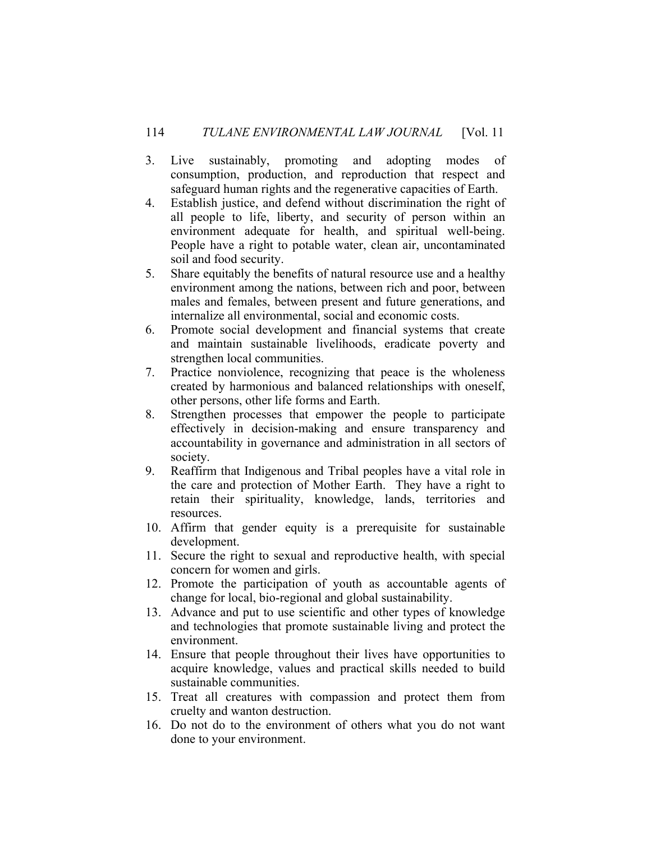- 3. Live sustainably, promoting and adopting modes of consumption, production, and reproduction that respect and safeguard human rights and the regenerative capacities of Earth.
- 4. Establish justice, and defend without discrimination the right of all people to life, liberty, and security of person within an environment adequate for health, and spiritual well-being. People have a right to potable water, clean air, uncontaminated soil and food security.
- 5. Share equitably the benefits of natural resource use and a healthy environment among the nations, between rich and poor, between males and females, between present and future generations, and internalize all environmental, social and economic costs.
- 6. Promote social development and financial systems that create and maintain sustainable livelihoods, eradicate poverty and strengthen local communities.
- 7. Practice nonviolence, recognizing that peace is the wholeness created by harmonious and balanced relationships with oneself, other persons, other life forms and Earth.
- 8. Strengthen processes that empower the people to participate effectively in decision-making and ensure transparency and accountability in governance and administration in all sectors of society.
- 9. Reaffirm that Indigenous and Tribal peoples have a vital role in the care and protection of Mother Earth. They have a right to retain their spirituality, knowledge, lands, territories and resources.
- 10. Affirm that gender equity is a prerequisite for sustainable development.
- 11. Secure the right to sexual and reproductive health, with special concern for women and girls.
- 12. Promote the participation of youth as accountable agents of change for local, bio-regional and global sustainability.
- 13. Advance and put to use scientific and other types of knowledge and technologies that promote sustainable living and protect the environment.
- 14. Ensure that people throughout their lives have opportunities to acquire knowledge, values and practical skills needed to build sustainable communities.
- 15. Treat all creatures with compassion and protect them from cruelty and wanton destruction.
- 16. Do not do to the environment of others what you do not want done to your environment.